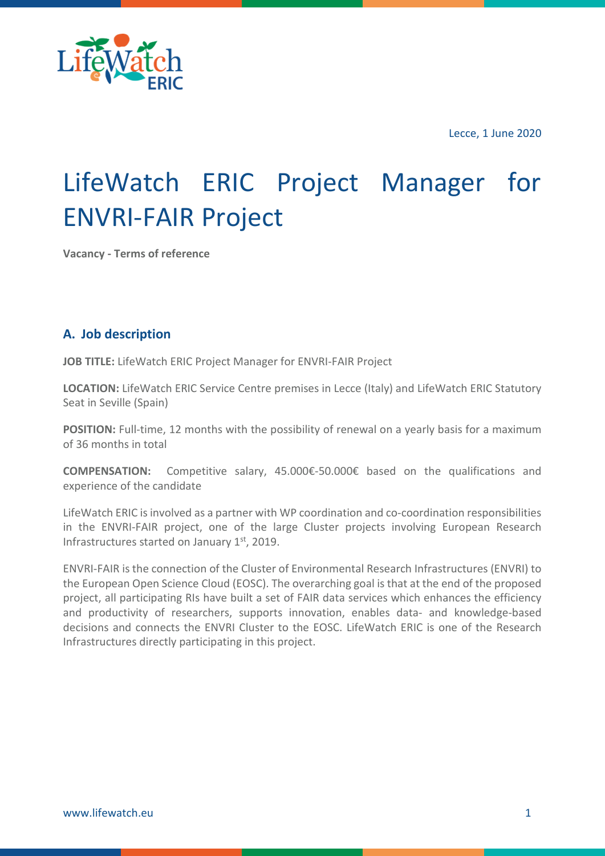

Lecce, 1 June 2020

# LifeWatch ERIC Project Manager for ENVRI-FAIR Project

**Vacancy - Terms of reference**

# **A. Job description**

**JOB TITLE:** LifeWatch ERIC Project Manager for ENVRI-FAIR Project

**LOCATION:** LifeWatch ERIC Service Centre premises in Lecce (Italy) and LifeWatch ERIC Statutory Seat in Seville (Spain)

**POSITION:** Full-time, 12 months with the possibility of renewal on a yearly basis for a maximum of 36 months in total

**COMPENSATION:** Competitive salary, 45.000€-50.000€ based on the qualifications and experience of the candidate

LifeWatch ERIC is involved as a partner with WP coordination and co-coordination responsibilities in the ENVRI-FAIR project, one of the large Cluster projects involving European Research Infrastructures started on January 1st, 2019.

ENVRI-FAIR is the connection of the Cluster of Environmental Research Infrastructures (ENVRI) to the European Open Science Cloud (EOSC). The overarching goal is that at the end of the proposed project, all participating RIs have built a set of FAIR data services which enhances the efficiency and productivity of researchers, supports innovation, enables data- and knowledge-based decisions and connects the ENVRI Cluster to the EOSC. LifeWatch ERIC is one of the Research Infrastructures directly participating in this project.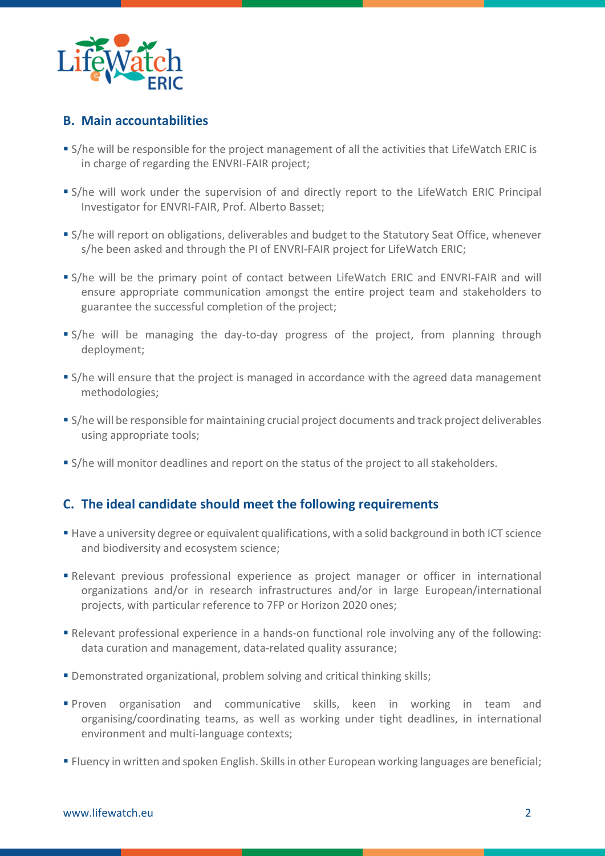

### **B. Main accountabilities**

- S/he will be responsible for the project management of all the activities that LifeWatch ERIC is in charge of regarding the ENVRI-FAIR project;
- S/he will work under the supervision of and directly report to the LifeWatch ERIC Principal Investigator for ENVRI-FAIR, Prof. Alberto Basset;
- S/he will report on obligations, deliverables and budget to the Statutory Seat Office, whenever s/he been asked and through the PI of ENVRI-FAIR project for LifeWatch ERIC;
- S/he will be the primary point of contact between LifeWatch ERIC and ENVRI-FAIR and will ensure appropriate communication amongst the entire project team and stakeholders to guarantee the successful completion of the project;
- S/he will be managing the day-to-day progress of the project, from planning through deployment;
- S/he will ensure that the project is managed in accordance with the agreed data management methodologies;
- S/he will be responsible for maintaining crucial project documents and track project deliverables using appropriate tools;
- S/he will monitor deadlines and report on the status of the project to all stakeholders.

#### **C. The ideal candidate should meet the following requirements**

- Have a university degree or equivalent qualifications, with a solid background in both ICT science and biodiversity and ecosystem science;
- Relevant previous professional experience as project manager or officer in international organizations and/or in research infrastructures and/or in large European/international projects, with particular reference to 7FP or Horizon 2020 ones;
- Relevant professional experience in a hands-on functional role involving any of the following: data curation and management, data-related quality assurance;
- Demonstrated organizational, problem solving and critical thinking skills;
- Proven organisation and communicative skills, keen in working in team and organising/coordinating teams, as well as working under tight deadlines, in international environment and multi-language contexts;
- Fluency in written and spoken English. Skills in other European working languages are beneficial;